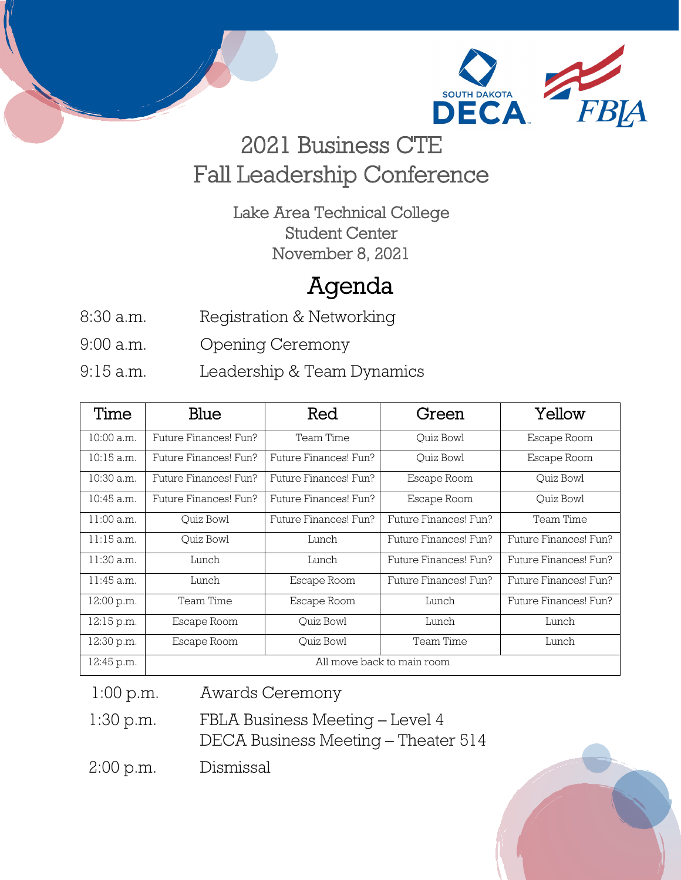

# 2021 Business CTE Fall Leadership Conference

Lake Area Technical College Student Center November 8, 2021

## Agenda

- 8:30 a.m. Registration & Networking
- 9:00 a.m. Opening Ceremony
- 9:15 a.m. Leadership & Team Dynamics

| Time         | Blue                       | Red                   | Green                 | Yellow                |
|--------------|----------------------------|-----------------------|-----------------------|-----------------------|
| 10:00 a.m.   | Future Finances! Fun?      | Team Time             | Ouiz Bowl             | Escape Room           |
| $10:15$ a.m. | Future Finances! Fun?      | Future Finances! Fun? | Ouiz Bowl             | Escape Room           |
| 10:30 a.m.   | Future Finances! Fun?      | Future Finances! Fun? | Escape Room           | Quiz Bowl             |
| $10:45$ a.m. | Future Finances! Fun?      | Future Finances! Fun? | Escape Room           | Ouiz Bowl             |
| $11:00$ a.m. | Ouiz Bowl                  | Future Finances! Fun? | Future Finances! Fun? | Team Time             |
| $11:15$ a.m. | Ouiz Bowl                  | Lunch                 | Future Finances! Fun? | Future Finances! Fun? |
| $11:30$ a.m. | Lunch                      | Lunch                 | Future Finances! Fun? | Future Finances! Fun? |
| $11:45$ a.m. | Lunch                      | Escape Room           | Future Finances! Fun? | Future Finances! Fun? |
| 12:00 p.m.   | Team Time                  | Escape Room           | Lunch                 | Future Finances! Fun? |
| 12:15 p.m.   | Escape Room                | Ouiz Bowl             | Lunch                 | Lunch                 |
| 12:30 p.m.   | Escape Room                | Ouiz Bowl             | Team Time             | Lunch                 |
| 12:45 p.m.   | All move back to main room |                       |                       |                       |

1:00 p.m. Awards Ceremony

 1:30 p.m. FBLA Business Meeting – Level 4 DECA Business Meeting – Theater 514

2:00 p.m. Dismissal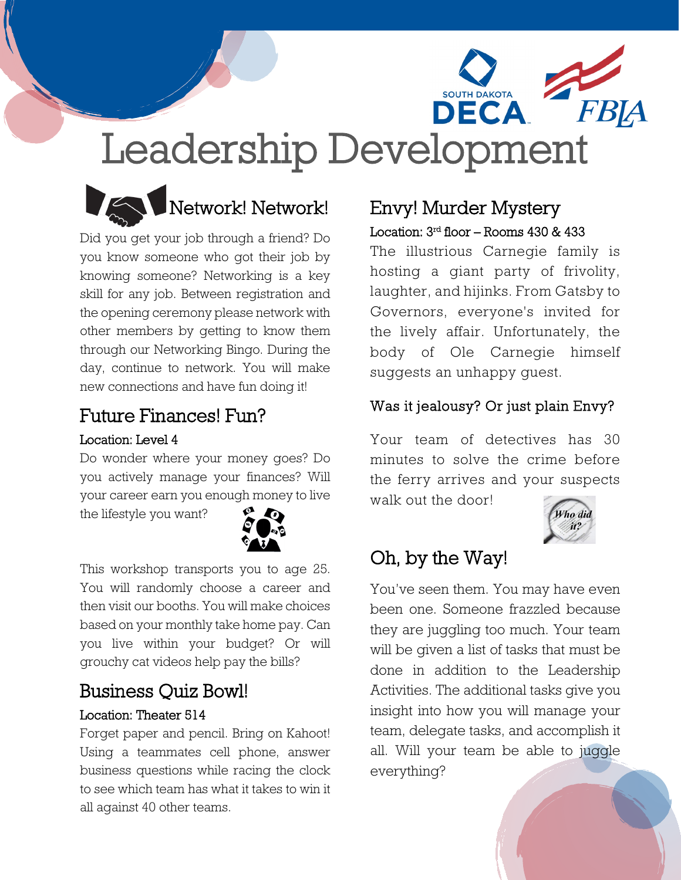



Did you get your job through a friend? Do you know someone who got their job by knowing someone? Networking is a key skill for any job. Between registration and the opening ceremony please network with other members by getting to know them through our Networking Bingo. During the day, continue to network. You will make new connections and have fun doing it!

#### Future Finances! Fun?

#### Location: Level 4

Do wonder where your money goes? Do you actively manage your finances? Will your career earn you enough money to live

the lifestyle you want?



This workshop transports you to age 25. You will randomly choose a career and then visit our booths. You will make choices based on your monthly take home pay. Can you live within your budget? Or will grouchy cat videos help pay the bills?

## Business Quiz Bowl!

#### Location: Theater 514

Forget paper and pencil. Bring on Kahoot! Using a teammates cell phone, answer business questions while racing the clock to see which team has what it takes to win it all against 40 other teams.

#### Envy! Murder Mystery Location: 3rd floor – Rooms 430 & 433

The illustrious Carnegie family is hosting a giant party of frivolity, laughter, and hijinks. From Gatsby to Governors, everyone's invited for the lively affair. Unfortunately, the body of Ole Carnegie himself suggests an unhappy guest.

#### Was it jealousy? Or just plain Envy?

Your team of detectives has 30 minutes to solve the crime before the ferry arrives and your suspects walk out the door!



## Oh, by the Way!

You've seen them. You may have even been one. Someone frazzled because they are juggling too much. Your team will be given a list of tasks that must be done in addition to the Leadership Activities. The additional tasks give you insight into how you will manage your team, delegate tasks, and accomplish it all. Will your team be able to juggle everything?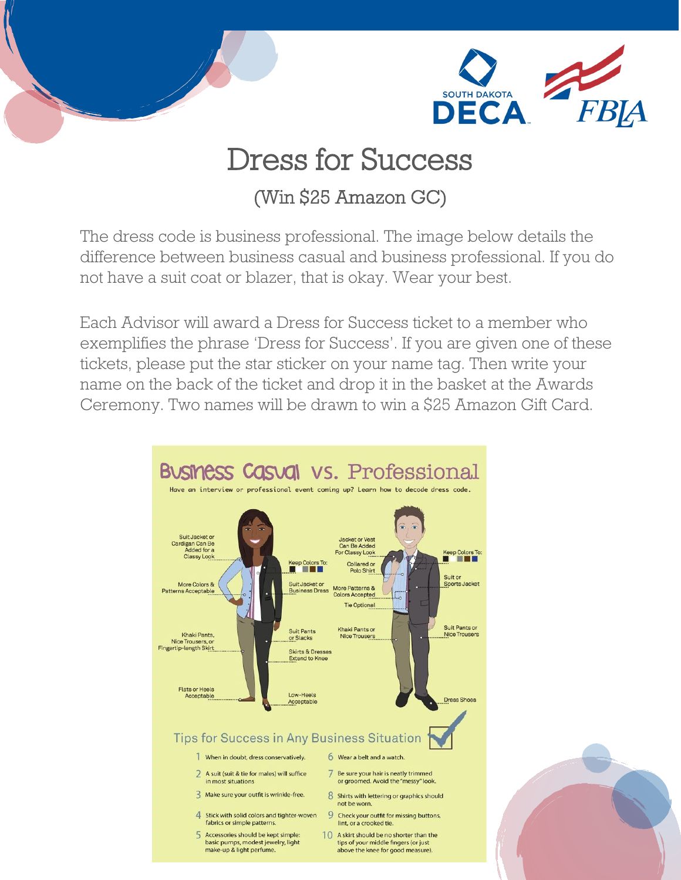

# Dress for Success

## (Win \$25 Amazon GC)

The dress code is business professional. The image below details the difference between business casual and business professional. If you do not have a suit coat or blazer, that is okay. Wear your best.

Each Advisor will award a Dress for Success ticket to a member who exemplifies the phrase 'Dress for Success'. If you are given one of these tickets, please put the star sticker on your name tag. Then write your name on the back of the ticket and drop it in the basket at the Awards Ceremony. Two names will be drawn to win a \$25 Amazon Gift Card.